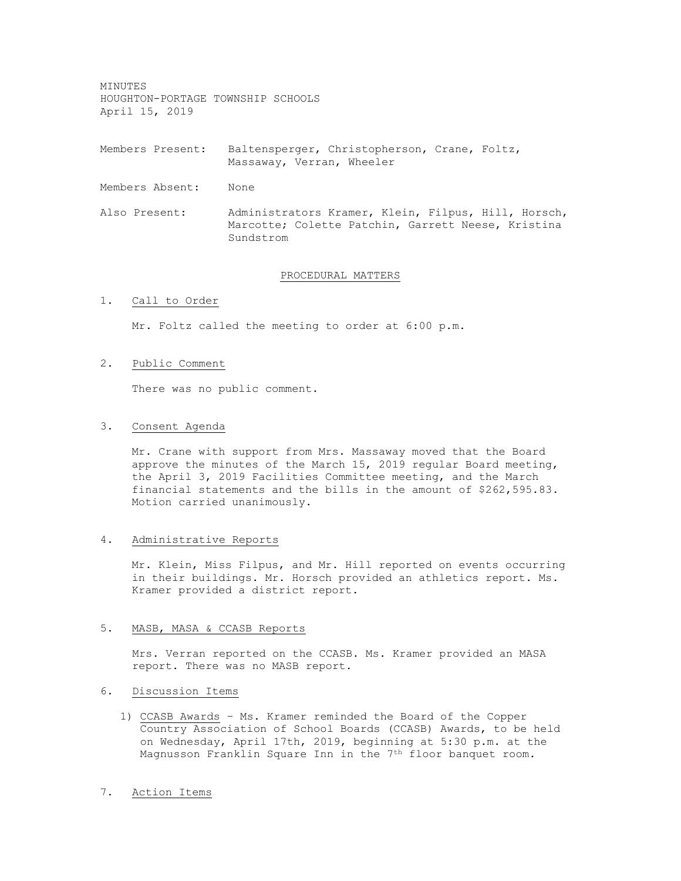MINUTES HOUGHTON-PORTAGE TOWNSHIP SCHOOLS April 15, 2019

Members Present: Baltensperger, Christopherson, Crane, Foltz, Massaway, Verran, Wheeler

Members Absent: None

Also Present: Administrators Kramer, Klein, Filpus, Hill, Horsch, Marcotte; Colette Patchin, Garrett Neese, Kristina Sundstrom

#### PROCEDURAL MATTERS

1. Call to Order

Mr. Foltz called the meeting to order at 6:00 p.m.

## 2. Public Comment

There was no public comment.

#### 3. Consent Agenda

Mr. Crane with support from Mrs. Massaway moved that the Board approve the minutes of the March 15, 2019 regular Board meeting, the April 3, 2019 Facilities Committee meeting, and the March financial statements and the bills in the amount of \$262,595.83. Motion carried unanimously.

#### 4. Administrative Reports

Mr. Klein, Miss Filpus, and Mr. Hill reported on events occurring in their buildings. Mr. Horsch provided an athletics report. Ms. Kramer provided a district report.

#### 5. MASB, MASA & CCASB Reports

Mrs. Verran reported on the CCASB. Ms. Kramer provided an MASA report. There was no MASB report.

## 6. Discussion Items

1) CCASB Awards – Ms. Kramer reminded the Board of the Copper Country Association of School Boards (CCASB) Awards, to be held on Wednesday, April 17th, 2019, beginning at 5:30 p.m. at the Magnusson Franklin Square Inn in the 7th floor banquet room.

## 7. Action Items